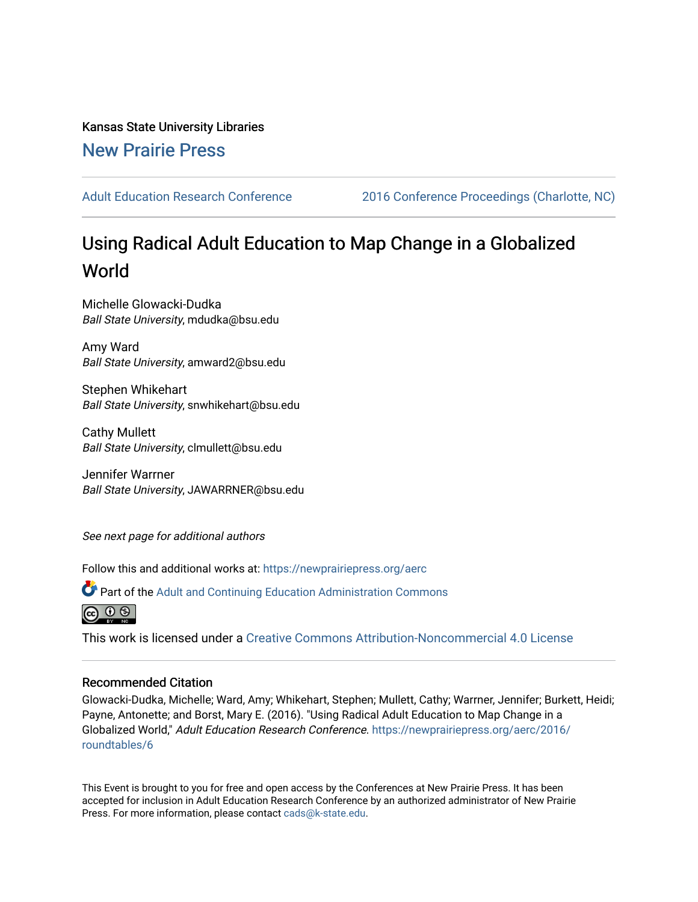Kansas State University Libraries [New Prairie Press](https://newprairiepress.org/) 

[Adult Education Research Conference](https://newprairiepress.org/aerc) [2016 Conference Proceedings \(Charlotte, NC\)](https://newprairiepress.org/aerc/2016) 

# Using Radical Adult Education to Map Change in a Globalized World

Michelle Glowacki-Dudka Ball State University, mdudka@bsu.edu

Amy Ward Ball State University, amward2@bsu.edu

Stephen Whikehart Ball State University, snwhikehart@bsu.edu

Cathy Mullett Ball State University, clmullett@bsu.edu

Jennifer Warrner Ball State University, JAWARRNER@bsu.edu

See next page for additional authors

Follow this and additional works at: [https://newprairiepress.org/aerc](https://newprairiepress.org/aerc?utm_source=newprairiepress.org%2Faerc%2F2016%2Froundtables%2F6&utm_medium=PDF&utm_campaign=PDFCoverPages)

Part of the [Adult and Continuing Education Administration Commons](http://network.bepress.com/hgg/discipline/789?utm_source=newprairiepress.org%2Faerc%2F2016%2Froundtables%2F6&utm_medium=PDF&utm_campaign=PDFCoverPages)



This work is licensed under a [Creative Commons Attribution-Noncommercial 4.0 License](https://creativecommons.org/licenses/by-nc/4.0/)

## Recommended Citation

Glowacki-Dudka, Michelle; Ward, Amy; Whikehart, Stephen; Mullett, Cathy; Warrner, Jennifer; Burkett, Heidi; Payne, Antonette; and Borst, Mary E. (2016). "Using Radical Adult Education to Map Change in a Globalized World," Adult Education Research Conference. [https://newprairiepress.org/aerc/2016/](https://newprairiepress.org/aerc/2016/roundtables/6) [roundtables/6](https://newprairiepress.org/aerc/2016/roundtables/6) 

This Event is brought to you for free and open access by the Conferences at New Prairie Press. It has been accepted for inclusion in Adult Education Research Conference by an authorized administrator of New Prairie Press. For more information, please contact [cads@k-state.edu.](mailto:cads@k-state.edu)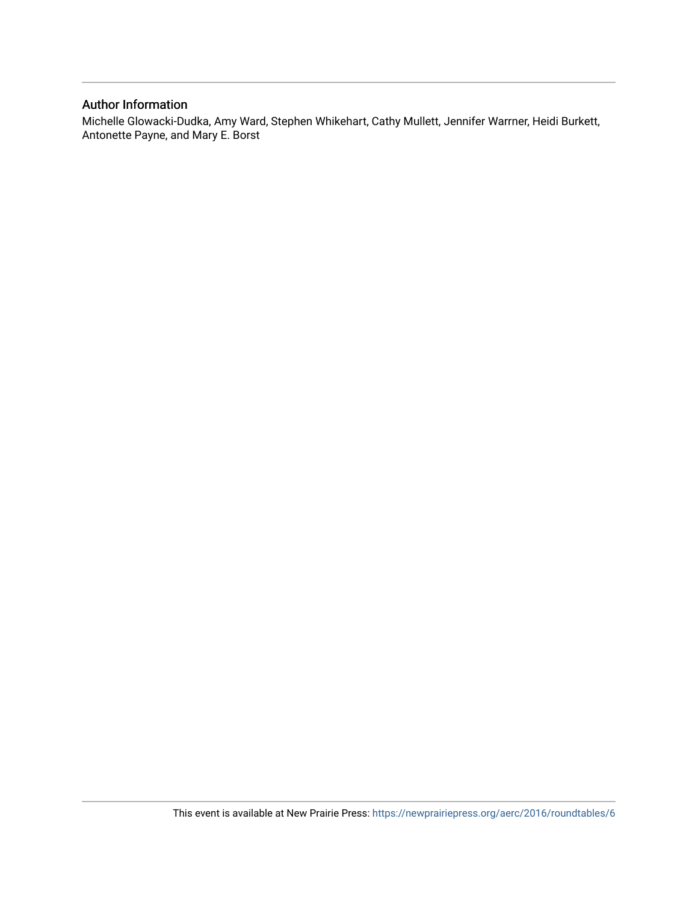# Author Information

Michelle Glowacki-Dudka, Amy Ward, Stephen Whikehart, Cathy Mullett, Jennifer Warrner, Heidi Burkett, Antonette Payne, and Mary E. Borst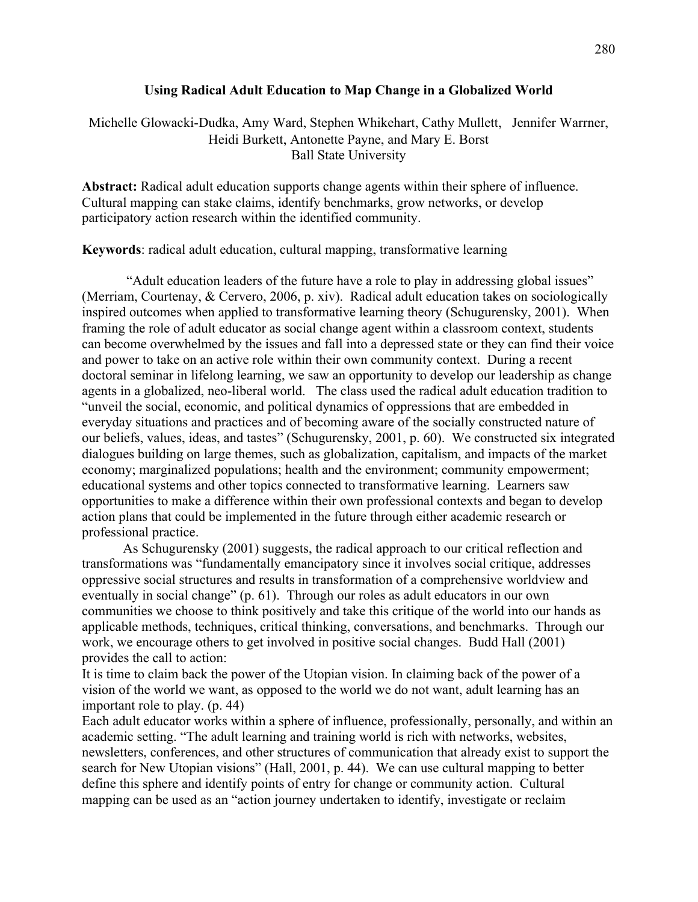### **Using Radical Adult Education to Map Change in a Globalized World**

Michelle Glowacki-Dudka, Amy Ward, Stephen Whikehart, Cathy Mullett, Jennifer Warrner, Heidi Burkett, Antonette Payne, and Mary E. Borst Ball State University

**Abstract:** Radical adult education supports change agents within their sphere of influence. Cultural mapping can stake claims, identify benchmarks, grow networks, or develop participatory action research within the identified community.

**Keywords**: radical adult education, cultural mapping, transformative learning

"Adult education leaders of the future have a role to play in addressing global issues" (Merriam, Courtenay, & Cervero, 2006, p. xiv). Radical adult education takes on sociologically inspired outcomes when applied to transformative learning theory (Schugurensky, 2001). When framing the role of adult educator as social change agent within a classroom context, students can become overwhelmed by the issues and fall into a depressed state or they can find their voice and power to take on an active role within their own community context. During a recent doctoral seminar in lifelong learning, we saw an opportunity to develop our leadership as change agents in a globalized, neo-liberal world. The class used the radical adult education tradition to "unveil the social, economic, and political dynamics of oppressions that are embedded in everyday situations and practices and of becoming aware of the socially constructed nature of our beliefs, values, ideas, and tastes" (Schugurensky, 2001, p. 60). We constructed six integrated dialogues building on large themes, such as globalization, capitalism, and impacts of the market economy; marginalized populations; health and the environment; community empowerment; educational systems and other topics connected to transformative learning. Learners saw opportunities to make a difference within their own professional contexts and began to develop action plans that could be implemented in the future through either academic research or professional practice.

As Schugurensky (2001) suggests, the radical approach to our critical reflection and transformations was "fundamentally emancipatory since it involves social critique, addresses oppressive social structures and results in transformation of a comprehensive worldview and eventually in social change" (p. 61). Through our roles as adult educators in our own communities we choose to think positively and take this critique of the world into our hands as applicable methods, techniques, critical thinking, conversations, and benchmarks. Through our work, we encourage others to get involved in positive social changes. Budd Hall (2001) provides the call to action:

It is time to claim back the power of the Utopian vision. In claiming back of the power of a vision of the world we want, as opposed to the world we do not want, adult learning has an important role to play. (p. 44)

Each adult educator works within a sphere of influence, professionally, personally, and within an academic setting. "The adult learning and training world is rich with networks, websites, newsletters, conferences, and other structures of communication that already exist to support the search for New Utopian visions" (Hall, 2001, p. 44). We can use cultural mapping to better define this sphere and identify points of entry for change or community action. Cultural mapping can be used as an "action journey undertaken to identify, investigate or reclaim